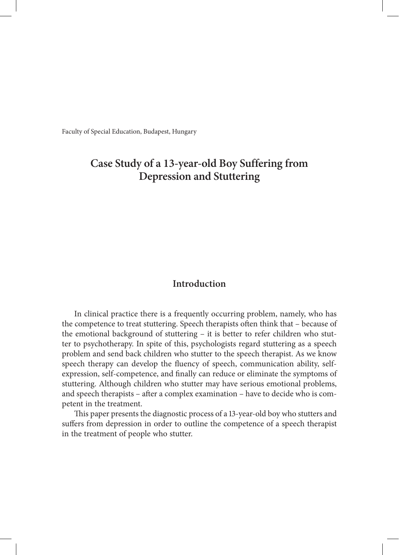Faculty of Special Education, Budapest, Hungary

# **Case Study of a 13-year-old Boy Suffering from Depression and Stuttering**

# **Introduction**

In clinical practice there is a frequently occurring problem, namely, who has the competence to treat stuttering. Speech therapists often think that – because of the emotional background of stuttering – it is better to refer children who stutter to psychotherapy. In spite of this, psychologists regard stuttering as a speech problem and send back children who stutter to the speech therapist. As we know speech therapy can develop the fluency of speech, communication ability, selfexpression, self-competence, and finally can reduce or eliminate the symptoms of stuttering. Although children who stutter may have serious emotional problems, and speech therapists – after a complex examination – have to decide who is competent in the treatment.

This paper presents the diagnostic process of a 13-year-old boy who stutters and suffers from depression in order to outline the competence of a speech therapist in the treatment of people who stutter.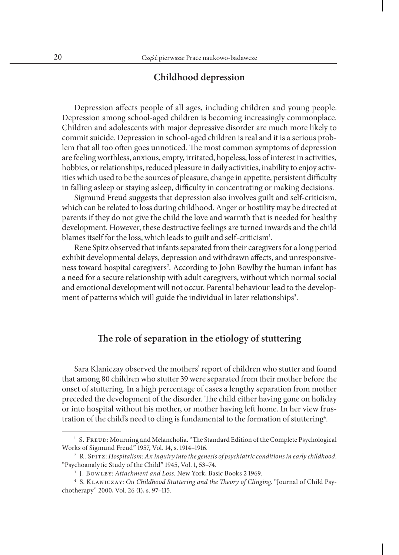### **Childhood depression**

Depression affects people of all ages, including children and young people. Depression among school-aged children is becoming increasingly commonplace. Children and adolescents with major depressive disorder are much more likely to commit suicide. Depression in school-aged children is real and it is a serious problem that all too often goes unnoticed. The most common symptoms of depression are feeling worthless, anxious, empty, irritated, hopeless, loss of interest in activities, hobbies, or relationships, reduced pleasure in daily activities, inability to enjoy activities which used to be the sources of pleasure, change in appetite, persistent difficulty in falling asleep or staying asleep, difficulty in concentrating or making decisions.

Sigmund Freud suggests that depression also involves guilt and self-criticism, which can be related to loss during childhood. Anger or hostility may be directed at parents if they do not give the child the love and warmth that is needed for healthy development. However, these destructive feelings are turned inwards and the child blames itself for the loss, which leads to guilt and self-criticism<sup>1</sup>.

Rene Spitz observed that infants separated from their caregivers for a long period exhibit developmental delays, depression and withdrawn affects, and unresponsiveness toward hospital caregivers<sup>2</sup>. According to John Bowlby the human infant has a need for a secure relationship with adult caregivers, without which normal social and emotional development will not occur. Parental behaviour lead to the development of patterns which will guide the individual in later relationships<sup>3</sup>.

# **The role of separation in the etiology of stuttering**

Sara Klaniczay observed the mothers' report of children who stutter and found that among 80 children who stutter 39 were separated from their mother before the onset of stuttering. In a high percentage of cases a lengthy separation from mother preceded the development of the disorder. The child either having gone on holiday or into hospital without his mother, or mother having left home. In her view frustration of the child's need to cling is fundamental to the formation of stuttering<sup>4</sup>.

<sup>&</sup>lt;sup>1</sup> S. FREUD: Mourning and Melancholia. "The Standard Edition of the Complete Psychological Works of Sigmund Freud" 1957, Vol. 14, s. 1914–1916.

<sup>2</sup> R. Spitz: *Hospitalism: An inquiry into the genesis of psychiatric conditions in early childhood*. "Psychoanalytic Study of the Child" 1945, Vol. 1, 53–74.

<sup>3</sup> J. Bowlby: *Attachment and Loss.* New York, Basic Books 2 1969.

<sup>4</sup> S. Klaniczay: *On Childhood Stuttering and the Theory of Clinging*. "Journal of Child Psychotherapy" 2000, Vol. 26 (1), s. 97–115.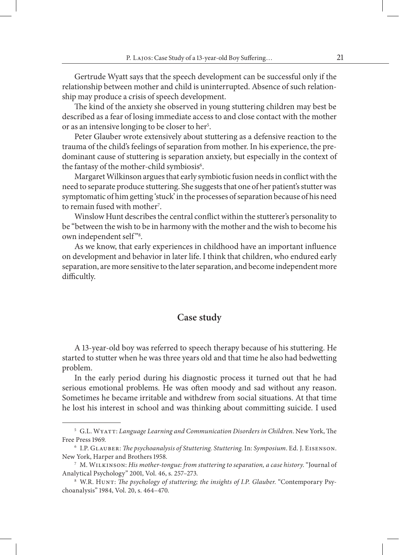Gertrude Wyatt says that the speech development can be successful only if the relationship between mother and child is uninterrupted. Absence of such relationship may produce a crisis of speech development.

The kind of the anxiety she observed in young stuttering children may best be described as a fear of losing immediate access to and close contact with the mother or as an intensive longing to be closer to her<sup>5</sup>.

Peter Glauber wrote extensively about stuttering as a defensive reaction to the trauma of the child's feelings of separation from mother. In his experience, the predominant cause of stuttering is separation anxiety, but especially in the context of the fantasy of the mother-child symbiosis<sup>6</sup>.

Margaret Wilkinson argues that early symbiotic fusion needs in conflict with the need to separate produce stuttering. She suggests that one of her patient's stutter was symptomatic of him getting 'stuck' in the processes of separation because of his need to remain fused with mother<sup>7</sup>.

Winslow Hunt describes the central conflict within the stutterer's personality to be "between the wish to be in harmony with the mother and the wish to become his own independent self"<sup>8</sup>.

As we know, that early experiences in childhood have an important influence on development and behavior in later life. I think that children, who endured early separation, are more sensitive to the later separation, and become independent more difficultly.

### **Case study**

A 13-year-old boy was referred to speech therapy because of his stuttering. He started to stutter when he was three years old and that time he also had bedwetting problem.

In the early period during his diagnostic process it turned out that he had serious emotional problems. He was often moody and sad without any reason. Sometimes he became irritable and withdrew from social situations. At that time he lost his interest in school and was thinking about committing suicide. I used

<sup>5</sup> G.L. Wyatt: *Language Learning and Communication Disorders in Children*. New York, The Free Press 1969.

<sup>6</sup> I.P. Glauber: *The psychoanalysis of Stuttering. Stuttering*. In: *Symposium*. Ed. J. Eisenson. New York, Harper and Brothers 1958.

<sup>7</sup> M. Wilkinson: *His mother-tongue: from stuttering to separation, a case history*. "Journal of Analytical Psychology" 2001, Vol. 46, s. 257–273.

<sup>8</sup> W.R. Hunt: *The psychology of stuttering; the insights of I.P. Glauber*. "Contemporary Psychoanalysis" 1984, Vol. 20, s. 464–470.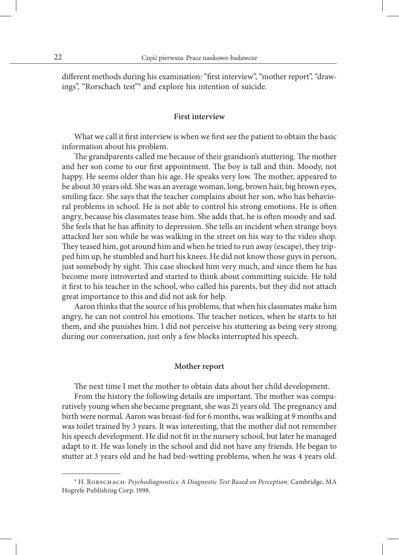different methods during his examination: "first interview", "mother report", "drawings", "Rorschach test"9 and explore his intention of suicide.

#### **First interview**

What we call it first interview is when we first see the patient to obtain the basic information about his problem.

The grandparents called me because of their grandson's stuttering. The mother and her son come to our first appointment. The boy is tall and thin. Moody, not happy. He seems older than his age. He speaks very low. The mother, appeared to be about 30 years old. She was an average woman, long, brown hair, big brown eyes, smiling face. She says that the teacher complains about her son, who has behavioral problems in school. He is not able to control his strong emotions. He is often angry, because his classmates tease him. She adds that, he is often moody and sad. She feels that he has affinity to depression. She tells an incident when strange boys attacked her son while he was walking in the street on his way to the video shop. They teased him, got around him and when he tried to run away (escape), they tripped him up, he stumbled and hurt his knees. He did not know those guys in person, just somebody by sight. This case shocked him very much, and since them he has become more introverted and started to think about committing suicide. He told it first to his teacher in the school, who called his parents, but they did not attach great importance to this and did not ask for help.

Aaron thinks that the source of his problems, that when his classmates make him angry, he can not control his emotions. The teacher notices, when he starts to hit them, and she punishes him. I did not perceive his stuttering as being very strong during our conversation, just only a few blocks interrupted his speech.

#### **Mother report**

The next time I met the mother to obtain data about her child development.

From the history the following details are important. The mother was comparatively young when she became pregnant, she was 21 years old. The pregnancy and birth were normal. Aaron was breast-fed for 6 months, was walking at 9 months and was toilet trained by 3 years. It was interesting, that the mother did not remember his speech development. He did not fit in the nursery school, but later he managed adapt to it. He was lonely in the school and did not have any friends. He began to stutter at 3 years old and he had bed-wetting problems, when he was 4 years old.

<sup>9</sup> H. Rorschach: *Psychodiagnostics: A Diagnostic Test Based on Perception*. Cambridge, MA Hogrefe Publishing Corp. 1998.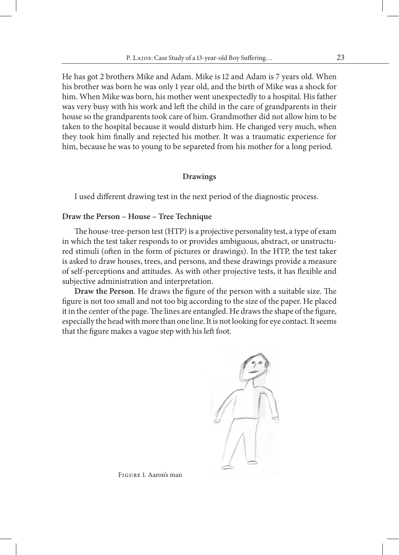He has got 2 brothers Mike and Adam. Mike is 12 and Adam is 7 years old. When his brother was born he was only 1 year old, and the birth of Mike was a shock for him. When Mike was born, his mother went unexpectedly to a hospital. His father was very busy with his work and left the child in the care of grandparents in their house so the grandparents took care of him. Grandmother did not allow him to be taken to the hospital because it would disturb him. He changed very much, when they took him finally and rejected his mother. It was a traumatic experience for him, because he was to young to be separeted from his mother for a long period.

#### **Drawings**

I used different drawing test in the next period of the diagnostic process.

#### **Draw the Person – House – Tree Technique**

The house-tree-person test (HTP) is a projective personality test, a type of exam in which the test taker responds to or provides ambiguous, abstract, or unstructured stimuli (often in the form of pictures or drawings). In the HTP, the test taker is asked to draw houses, trees, and persons, and these drawings provide a measure of self-perceptions and attitudes. As with other projective tests, it has flexible and subjective administration and interpretation.

**Draw the Person**. He draws the figure of the person with a suitable size. The figure is not too small and not too big according to the size of the paper. He placed it in the center of the page. The lines are entangled. He draws the shape of the figure, especially the head with more than one line. It is not looking for eye contact. It seems that the figure makes a vague step with his left foot.



Figure 1. Aaron's man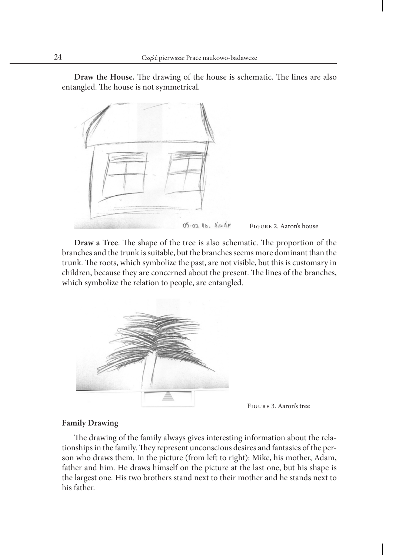**Draw the House.** The drawing of the house is schematic. The lines are also entangled. The house is not symmetrical.



**Draw a Tree**. The shape of the tree is also schematic. The proportion of the branches and the trunk is suitable, but the branches seems more dominant than the trunk. The roots, which symbolize the past, are not visible, but this is customary in children, because they are concerned about the present. The lines of the branches, which symbolize the relation to people, are entangled.



Figure 3. Aaron's tree

#### **Family Drawing**

The drawing of the family always gives interesting information about the relationships in the family. They represent unconscious desires and fantasies of the person who draws them. In the picture (from left to right): Mike, his mother, Adam, father and him. He draws himself on the picture at the last one, but his shape is the largest one. His two brothers stand next to their mother and he stands next to his father.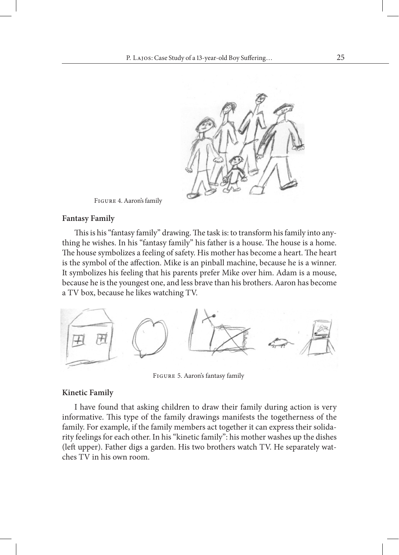

Figure 4. Aaron's family

#### **Fantasy Family**

This is his "fantasy family" drawing. The task is: to transform his family into anything he wishes. In his "fantasy family" his father is a house. The house is a home. The house symbolizes a feeling of safety. His mother has become a heart. The heart is the symbol of the affection. Mike is an pinball machine, because he is a winner. It symbolizes his feeling that his parents prefer Mike over him. Adam is a mouse, because he is the youngest one, and less brave than his brothers. Aaron has become a TV box, because he likes watching TV.



Figure 5. Aaron's fantasy family

#### **Kinetic Family**

I have found that asking children to draw their family during action is very informative. This type of the family drawings manifests the togetherness of the family. For example, if the family members act together it can express their solidarity feelings for each other. In his "kinetic family": his mother washes up the dishes (left upper). Father digs a garden. His two brothers watch TV. He separately watches TV in his own room.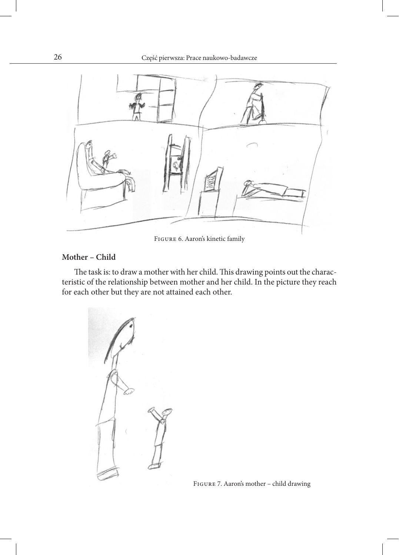

Figure 6. Aaron's kinetic family

### **Mother – Child**

The task is: to draw a mother with her child. This drawing points out the characteristic of the relationship between mother and her child. In the picture they reach for each other but they are not attained each other.

Figure 7. Aaron's mother – child drawing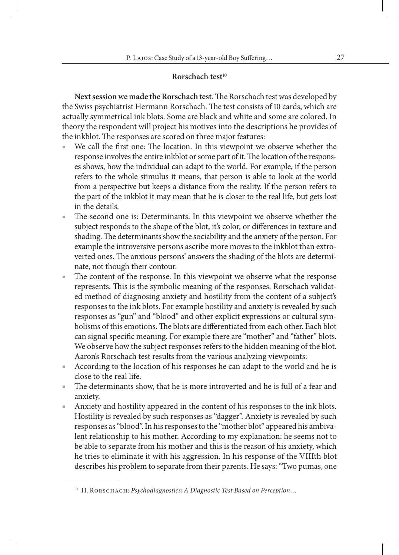# **Rorschach test10**

**Next session we made the Rorschach test**. The Rorschach test was developed by the Swiss psychiatrist Hermann Rorschach. The test consists of 10 cards, which are actually symmetrical ink blots. Some are black and white and some are colored. In theory the respondent will project his motives into the descriptions he provides of the inkblot. The responses are scored on three major features:

- We call the first one: The location. In this viewpoint we observe whether the response involves the entire inkblot or some part of it. The location of the responses shows, how the individual can adapt to the world. For example, if the person refers to the whole stimulus it means, that person is able to look at the world from a perspective but keeps a distance from the reality. If the person refers to the part of the inkblot it may mean that he is closer to the real life, but gets lost in the details.
- The second one is: Determinants. In this viewpoint we observe whether the subject responds to the shape of the blot, it's color, or differences in texture and shading. The determinants show the sociability and the anxiety of the person. For example the introversive persons ascribe more moves to the inkblot than extroverted ones. The anxious persons' answers the shading of the blots are determinate, not though their contour.
- The content of the response. In this viewpoint we observe what the response represents. This is the symbolic meaning of the responses. Rorschach validated method of diagnosing anxiety and hostility from the content of a subject's responses to the ink blots. For example hostility and anxiety is revealed by such responses as "gun" and "blood" and other explicit expressions or cultural symbolisms of this emotions. The blots are differentiated from each other. Each blot can signal specific meaning. For example there are "mother" and "father" blots. We observe how the subject responses refers to the hidden meaning of the blot. Aaron's Rorschach test results from the various analyzing viewpoints:
- According to the location of his responses he can adapt to the world and he is close to the real life.
- The determinants show, that he is more introverted and he is full of a fear and anxiety.
- Anxiety and hostility appeared in the content of his responses to the ink blots. Hostility is revealed by such responses as "dagger". Anxiety is revealed by such responses as "blood". In his responses to the "mother blot" appeared his ambivalent relationship to his mother. According to my explanation: he seems not to be able to separate from his mother and this is the reason of his anxiety, which he tries to eliminate it with his aggression. In his response of the VIIIth blot describes his problem to separate from their parents. He says: "Two pumas, one

<sup>&</sup>lt;sup>10</sup> Н. RORSCHACH: Psychodiagnostics: A Diagnostic Test Based on Perception...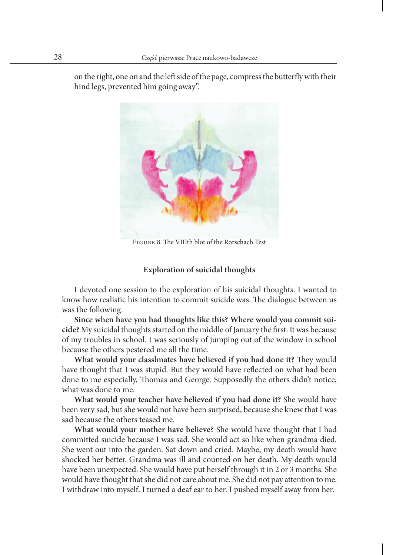on the right, one on and the left side of the page, compress the butterfly with their hind legs, prevented him going away".



Figure 8. The VIIIth blot of the Rorschach Test

#### **Exploration of suicidal thoughts**

I devoted one session to the exploration of his suicidal thoughts. I wanted to know how realistic his intention to commit suicide was. The dialogue between us was the following.

**Since when have you had thoughts like this? Where would you commit suicide?** My suicidal thoughts started on the middle of January the first. It was because of my troubles in school. I was seriously of jumping out of the window in school because the others pestered me all the time.

**What would your classlmates have believed if you had done it?** They would have thought that I was stupid. But they would have reflected on what had been done to me especially, Thomas and George. Supposedly the others didn't notice, what was done to me.

**What would your teacher have believed if you had done it?** She would have been very sad, but she would not have been surprised, because she knew that I was sad because the others teased me.

**What would your mother have believe?** She would have thought that I had committed suicide because I was sad. She would act so like when grandma died. She went out into the garden. Sat down and cried. Maybe, my death would have shocked her better. Grandma was ill and counted on her death. My death would have been unexpected. She would have put herself through it in 2 or 3 months. She would have thought that she did not care about me. She did not pay attention to me. I withdraw into myself. I turned a deaf ear to her. I pushed myself away from her.